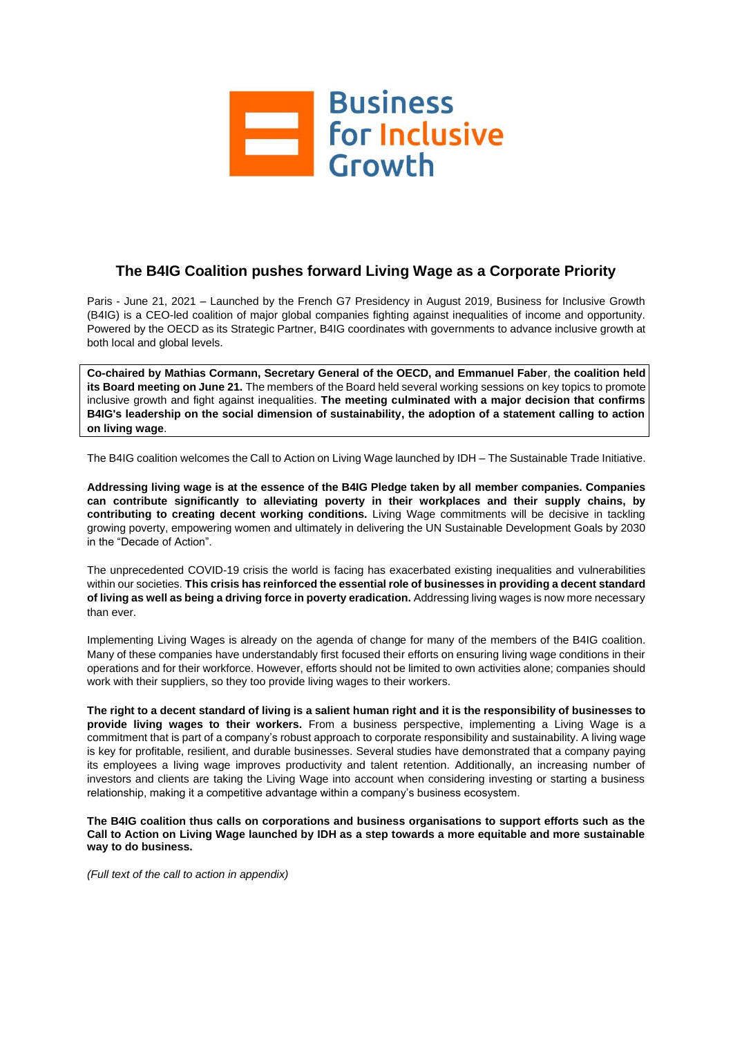

# **The B4IG Coalition pushes forward Living Wage as a Corporate Priority**

Paris - June 21, 2021 – Launched by the French G7 Presidency in August 2019, Business for Inclusive Growth (B4IG) is a CEO-led coalition of major global companies fighting against inequalities of income and opportunity. Powered by the OECD as its Strategic Partner, B4IG coordinates with governments to advance inclusive growth at both local and global levels.

**Co-chaired by Mathias Cormann, Secretary General of the OECD, and Emmanuel Faber**, **the coalition held its Board meeting on June 21.** The members of the Board held several working sessions on key topics to promote inclusive growth and fight against inequalities. **The meeting culminated with a major decision that confirms B4IG's leadership on the social dimension of sustainability, the adoption of a statement calling to action on living wage**.

The B4IG coalition welcomes the Call to Action on Living Wage launched by IDH – The Sustainable Trade Initiative.

**Addressing living wage is at the essence of the B4IG Pledge taken by all member companies. Companies can contribute significantly to alleviating poverty in their workplaces and their supply chains, by contributing to creating decent working conditions.** Living Wage commitments will be decisive in tackling growing poverty, empowering women and ultimately in delivering the UN Sustainable Development Goals by 2030 in the "Decade of Action".

The unprecedented COVID-19 crisis the world is facing has exacerbated existing inequalities and vulnerabilities within our societies. **This crisis has reinforced the essential role of businesses in providing a decent standard of living as well as being a driving force in poverty eradication.** Addressing living wages is now more necessary than ever.

Implementing Living Wages is already on the agenda of change for many of the members of the B4IG coalition. Many of these companies have understandably first focused their efforts on ensuring living wage conditions in their operations and for their workforce. However, efforts should not be limited to own activities alone; companies should work with their suppliers, so they too provide living wages to their workers.

**The right to a decent standard of living is a salient human right and it is the responsibility of businesses to provide living wages to their workers.** From a business perspective, implementing a Living Wage is a commitment that is part of a company's robust approach to corporate responsibility and sustainability. A living wage is key for profitable, resilient, and durable businesses. Several studies have demonstrated that a company paying its employees a living wage improves productivity and talent retention. Additionally, an increasing number of investors and clients are taking the Living Wage into account when considering investing or starting a business relationship, making it a competitive advantage within a company's business ecosystem.

**The B4IG coalition thus calls on corporations and business organisations to support efforts such as the Call to Action on Living Wage launched by IDH as a step towards a more equitable and more sustainable way to do business.** 

*(Full text of the call to action in appendix)*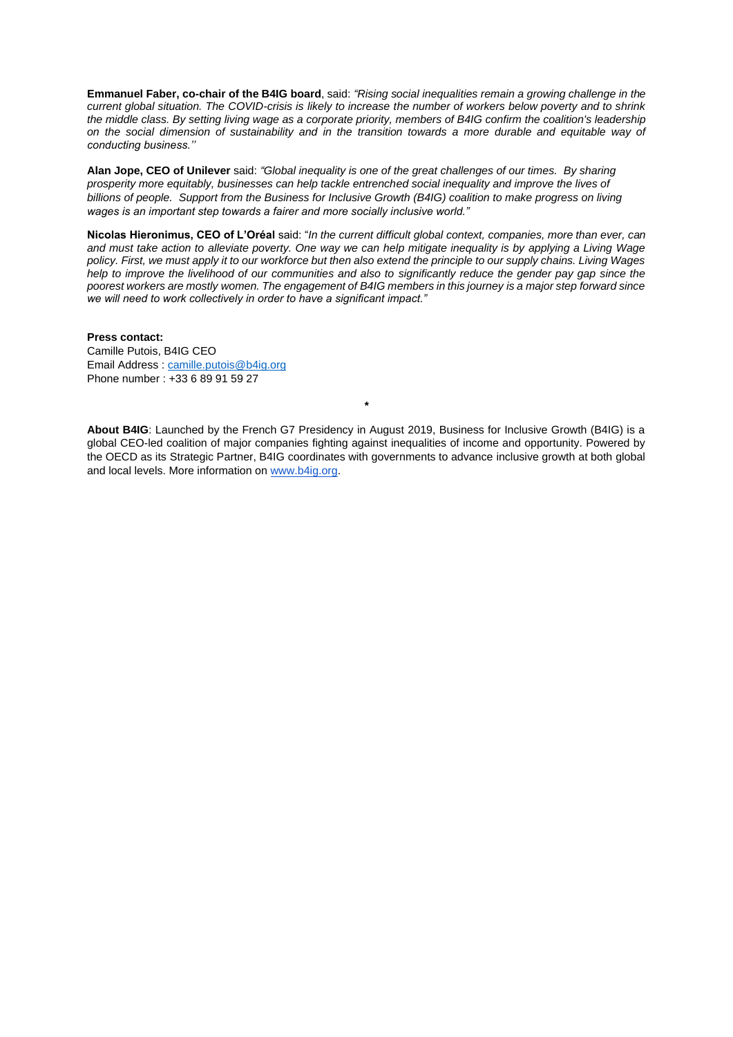**Emmanuel Faber, co-chair of the B4IG board**, said: *"Rising social inequalities remain a growing challenge in the current global situation. The COVID-crisis is likely to increase the number of workers below poverty and to shrink the middle class. By setting living wage as a corporate priority, members of B4IG confirm the coalition's leadership on the social dimension of sustainability and in the transition towards a more durable and equitable way of conducting business.''*

**Alan Jope, CEO of Unilever** said: *"Global inequality is one of the great challenges of our times. By sharing prosperity more equitably, businesses can help tackle entrenched social inequality and improve the lives of billions of people. Support from the Business for Inclusive Growth (B4IG) coalition to make progress on living wages is an important step towards a fairer and more socially inclusive world."*

**Nicolas Hieronimus, CEO of L'Oréal** said: "*In the current difficult global context, companies, more than ever, can and must take action to alleviate poverty. One way we can help mitigate inequality is by applying a Living Wage policy. First, we must apply it to our workforce but then also extend the principle to our supply chains. Living Wages help to improve the livelihood of our communities and also to significantly reduce the gender pay gap since the poorest workers are mostly women. The engagement of B4IG members in this journey is a major step forward since we will need to work collectively in order to have a significant impact."*

**Press contact:** Camille Putois, B4IG CEO Email Address : [camille.putois@b4ig.org](mailto:camille.putois@b4ig.org) Phone number : +33 6 89 91 59 27

**About B4IG**: Launched by the French G7 Presidency in August 2019, Business for Inclusive Growth (B4IG) is a global CEO-led coalition of major companies fighting against inequalities of income and opportunity. Powered by the OECD as its Strategic Partner, B4IG coordinates with governments to advance inclusive growth at both global and local levels. More information on [www.b4ig.org.](http://www.b4ig.org/)

*\**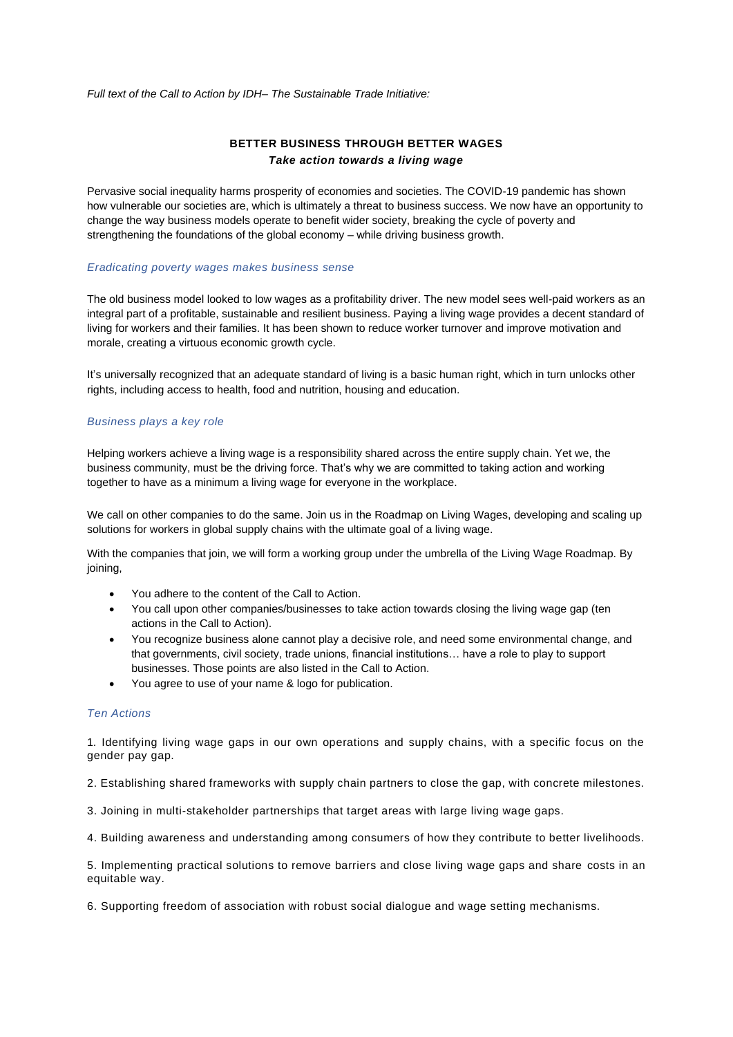*Full text of the Call to Action by IDH– The Sustainable Trade Initiative:*

# **BETTER BUSINESS THROUGH BETTER WAGES** *Take action towards a living wage*

Pervasive social inequality harms prosperity of economies and societies. The COVID-19 pandemic has shown how vulnerable our societies are, which is ultimately a threat to business success. We now have an opportunity to change the way business models operate to benefit wider society, breaking the cycle of poverty and strengthening the foundations of the global economy – while driving business growth.

#### *Eradicating poverty wages makes business sense*

The old business model looked to low wages as a profitability driver. The new model sees well-paid workers as an integral part of a profitable, sustainable and resilient business. Paying a living wage provides a decent standard of living for workers and their families. It has been shown to reduce worker turnover and improve motivation and morale, creating a virtuous economic growth cycle.

It's universally recognized that an adequate standard of living is a basic human right, which in turn unlocks other rights, including access to health, food and nutrition, housing and education.

### *Business plays a key role*

Helping workers achieve a living wage is a responsibility shared across the entire supply chain. Yet we, the business community, must be the driving force. That's why we are committed to taking action and working together to have as a minimum a living wage for everyone in the workplace.

We call on other companies to do the same. Join us in the Roadmap on Living Wages, developing and scaling up solutions for workers in global supply chains with the ultimate goal of a living wage.

With the companies that join, we will form a working group under the umbrella of the Living Wage Roadmap. By joining,

- You adhere to the content of the Call to Action.
- You call upon other companies/businesses to take action towards closing the living wage gap (ten actions in the Call to Action).
- You recognize business alone cannot play a decisive role, and need some environmental change, and that governments, civil society, trade unions, financial institutions… have a role to play to support businesses. Those points are also listed in the Call to Action.
- You agree to use of your name & logo for publication.

#### *Ten Actions*

1. Identifying living wage gaps in our own operations and supply chains, with a specific focus on the gender pay gap.

2. Establishing shared frameworks with supply chain partners to close the gap, with concrete milestones.

3. Joining in multi-stakeholder partnerships that target areas with large living wage gaps.

4. Building awareness and understanding among consumers of how they contribute to better livelihoods.

5. Implementing practical solutions to remove barriers and close living wage gaps and share costs in an equitable way.

6. Supporting freedom of association with robust social dialogue and wage setting mechanisms.